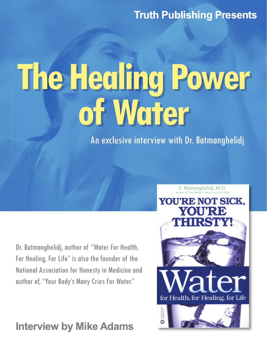**Truth Publishing Presents**

# **The Healing Power of Water**

An exclusive interview with Dr. Batmanghelidj

Dr. Batmanghelidj, author of "Water For Health, For Healing, For Life" is also the founder of the National Association for Honesty in Medicine and author of, "Your Body's Many Cries For Water."

**Interview by Mike Adams**

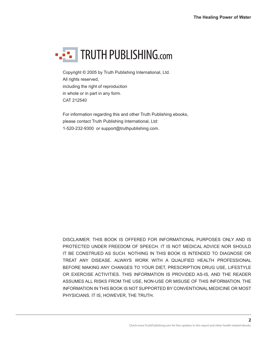## **-.- TRUTH PUBLISHING.com**

Copyright © 2005 by Truth Publishing International, Ltd. All rights reserved, including the right of reproduction in whole or in part in any form. CAT 212540

For information regarding this and other Truth Publishing ebooks, please contact Truth Publishing International, Ltd: 1-520-232-9300 or [support@truthpublishing.com.](mailto:support@truthpublishing.com)

DISCLAIMER: THIS BOOK IS OFFERED FOR INFORMATIONAL PURPOSES ONLY AND IS PROTECTED UNDER FREEDOM OF SPEECH. IT IS NOT MEDICAL ADVICE NOR SHOULD IT BE CONSTRUED AS SUCH. NOTHING IN THIS BOOK IS INTENDED TO DIAGNOSE OR TREAT ANY DISEASE. ALWAYS WORK WITH A QUALIFIED HEALTH PROFESSIONAL BEFORE MAKING ANY CHANGES TO YOUR DIET, PRESCRIPTION DRUG USE, LIFESTYLE OR EXERCISE ACTIVITIES. THIS INFORMATION IS PROVIDED AS-IS, AND THE READER ASSUMES ALL RISKS FROM THE USE, NON-USE OR MISUSE OF THIS INFORMATION. THE INFORMATION IN THIS BOOK IS NOT SUPPORTED BY CONVENTIONAL MEDICINE OR MOST PHYSICIANS. IT IS, HOWEVER, THE TRUTH.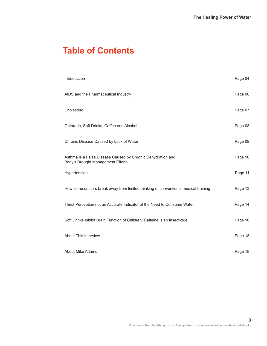### **Table of Contents**

| Introduction                                                                                     | Page 04 |
|--------------------------------------------------------------------------------------------------|---------|
| AIDS and the Pharmaceutical Industry                                                             | Page 06 |
| Cholesterol                                                                                      | Page 07 |
| Gatorade, Soft Drinks, Coffee and Alcohol                                                        | Page 08 |
| Chronic Disease Caused by Lack of Water                                                          | Page 09 |
| Asthma is a False Disease Caused by Chronic Dehydration and<br>Body's Drought Management Efforts | Page 10 |
| Hypertension                                                                                     | Page 11 |
| How some doctors break away from limited thinking of conventional medical training               | Page 13 |
| Thirst Perception not an Accurate Indicator of the Need to Consume Water                         | Page 14 |
| Soft Drinks Inhibit Brain Function of Children; Caffeine is an Insecticide                       | Page 16 |
| About This Interview                                                                             | Page 18 |
| <b>About Mike Adams</b>                                                                          | Page 18 |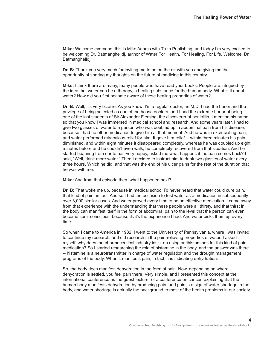<span id="page-3-0"></span>**Mike:** Welcome everyone, this is Mike Adams with Truth Publishing, and today I'm very excited to be welcoming Dr. Batmanghelidj, author of Water For Health, For Healing, For Life. Welcome, Dr. Batmanghelidj.

**Dr. B:** Thank you very much for inviting me to be on the air with you and giving me the opportunity of sharing my thoughts on the future of medicine in this country.

**Mike:** I think there are many, many people who have read your books. People are intrigued by the idea that water can be a therapy, a healing substance for the human body. What is it about water? How did you first become aware of these healing properties of water?

**Dr. B:** Well, it's very bizarre. As you know, I'm a regular doctor, an M.D. I had the honor and the privilege of being selected as one of the house doctors, and I had the extreme honor of being one of the last students of Sir Alexander Fleming, the discoverer of penicillin. I mention his name so that you know I was immersed in medical school and research. And some years later, I had to give two glasses of water to a person who was doubled up in abdominal pain from his disease, because I had no other medication to give him at that moment. And he was in excruciating pain, and water performed miraculous relief for him. It gave him relief -- within three minutes his pain diminished, and within eight minutes it disappeared completely, whereas he was doubled up eight minutes before and he couldn't even walk, he completely recovered from that situation. And he started beaming from ear to ear, very happy, asked me what happens if the pain comes back? I said, "Well, drink more water." Then I decided to instruct him to drink two glasses of water every three hours. Which he did, and that was the end of his ulcer pains for the rest of the duration that he was with me.

**Mike:** And from that episode then, what happened next?

**Dr. B:** That woke me up, because in medical school I'd never heard that water could cure pain, that kind of pain, in fact. And so I had the occasion to test water as a medication in subsequently over 3,000 similar cases. And water proved every time to be an effective medication. I came away from that experience with the understanding that these people were all thirsty, and that thirst in the body can manifest itself in the form of abdominal pain to the level that the person can even become semi-conscious, because that's the experience I had. And water picks them up every time.

So when I came to America in 1982, I went to the University of Pennsylvania, where I was invited to continue my research, and did research in the pain-relieving properties of water. I asked myself, why does the pharmaceutical industry insist on using antihistamines for this kind of pain medication? So I started researching the role of histamine in the body, and the answer was there -- histamine is a neurotransmitter in charge of water regulation and the drought management programs of the body. When it manifests pain, in fact, it is indicating dehydration.

So, the body does manifest dehydration in the form of pain. Now, depending on where dehydration is settled, you feel pain there. Very simple, and I presented this concept at the international conference as the guest lecturer of a conference on cancer, explaining that the human body manifests dehydration by producing pain, and pain is a sign of water shortage in the body, and water shortage is actually the background to most of the health problems in our society.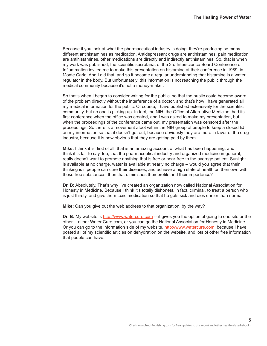Because if you look at what the pharmaceutical industry is doing, they're producing so many different antihistamines as medication. Antidepressant drugs are antihistamines, pain medication are antihistamines, other medications are directly and indirectly antihistamines. So, that is when my work was published, the scientific secretariat of the 3rd Interscience Board Conference of Inflammation invited me to make this presentation on histamine at their conference in 1989, in Monte Carlo. And I did that, and so it became a regular understanding that histamine is a water regulator in the body. But unfortunately, this information is not reaching the public through the medical community because it's not a money-maker.

So that's when I began to consider writing for the public, so that the public could become aware of the problem directly without the interference of a doctor, and that's how I have generated all my medical information for the public. Of course, I have published extensively for the scientific community, but no one is picking up. In fact, the NIH, the Office of Alternative Medicine, had its first conference when the office was created, and I was asked to make my presentation, but when the proceedings of the conference came out, my presentation was censored after the proceedings. So there is a movement afoot within the NIH group of people to keep a closed lid on my information so that it doesn't get out, because obviously they are more in favor of the drug industry, because it is now obvious that they are getting paid by them.

**Mike:** I think it is, first of all, that is an amazing account of what has been happening, and I think it is fair to say, too, that the pharmaceutical industry and organized medicine in general, really doesn't want to promote anything that is free or near-free to the average patient. Sunlight is available at no charge, water is available at nearly no charge -- would you agree that their thinking is if people can cure their diseases, and achieve a high state of health on their own with these free substances, then that diminishes their profits and their importance?

**Dr. B:** Absolutely. That's why I've created an organization now called National Association for Honesty in Medicine. Because I think it's totally dishonest, in fact, criminal, to treat a person who is just thirsty, and give them toxic medication so that he gets sick and dies earlier than normal.

**Mike:** Can you give out the web address to that organization, by the way?

**Dr. B:** My website is<http://www.watercure.com>-- it gives you the option of going to one site or the other -- either Water Cure.com, or you can go the National Association for Honesty in Medicine. Or you can go to the information side of my website, [http://www.watercure.com,](http://www.watercure.com) because I have posted all of my scientific articles on dehydration on the website, and lots of other free information that people can have.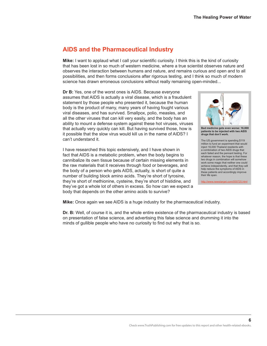#### <span id="page-5-0"></span>**AIDS and the Pharmaceutical Industry**

**Mike:** I want to applaud what I call your scientific curiosity. I think this is the kind of curiosity that has been lost in so much of western medicine, where a true scientist observes nature and observes the interaction between humans and nature, and remains curious and open and to all possibilities, and then forms conclusions after rigorous testing, and I think so much of modern science has drawn erroneous conclusions without really remaining open-minded...

**Dr B:** Yes, one of the worst ones is AIDS. Because everyone assumes that AIDS is actually a viral disease, which is a fraudulent statement by those people who presented it, because the human body is the product of many, many years of having fought various viral diseases, and has survived. Smallpox, polio, measles, and all the other viruses that can kill very easily, and the body has an ability to mount a defense system against these hot viruses, viruses that actually very quickly can kill. But having survived those, how is it possible that the slow virus would kill us in the name of AIDS? I can't understand it.

I have researched this topic extensively, and I have shown in fact that AIDS is a metabolic problem, when the body begins to cannibalize its own tissue because of certain missing elements in the raw materials that it receives through food or beverages, and the body of a person who gets AIDS, actually, is short of quite a number of building block amino acids. They're short of tyrosine, they're short of methionine, cysteine, they're short of histidine, and they've got a whole lot of others in excess. So how can we expect a body that depends on the other amino acids to survive?



**[Bad medicine gets even worse: 16,000](http://www.newstarget.com/000725.html)  patients to be injected with two AIDS drugs that don't work.**

The US government is spending \$119 million to fund an experiment that would inject 16,000 Thailand residents with a combination of two AIDS drugs that each failed and the pennant testing. For whatever reason, the hope is that these two drugs in combination will somehow work some magic that neither one could achieve independently, and that they will help reduce the symptoms of AIDS in these patients and accordingly improve their life span.

http://www.newstarget.com/000725.htm

**Mike:** Once again we see AIDS is a huge industry for the pharmaceutical industry.

**Dr. B:** Well, of course it is, and the whole entire existence of the pharmaceutical industry is based on presentation of false science, and advertising this false science and drumming it into the minds of gullible people who have no curiosity to find out why that is so.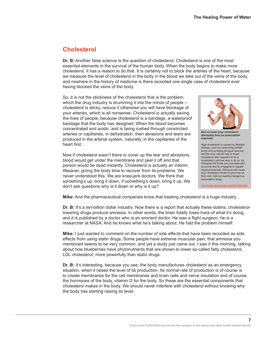#### <span id="page-6-0"></span>**Cholesterol**

**Dr. B:** Another false science is the question of cholesterol. Cholesterol is one of the most essential elements in the survival of the human body. When the body begins to make more cholesterol, it has a reason to do that. It is certainly not to block the arteries of the heart, because we measure the level of cholesterol in the body in the blood we take out of the veins of the body, and nowhere in the history of medicine is there recorded one single case of cholesterol ever having blocked the veins of the body.

So, it is not the stickiness of the cholesterol that is the problem, which the drug industry is drumming it into the minds of people -cholesterol is sticky, reduce it otherwise you will have blockage of your arteries, which is all nonsense. Cholesterol is actually saving the lives of people, because cholesterol is a bandage, a waterproof bandage that the body has designed. When the blood becomes concentrated and acidic, and is being rushed through constricted arteries or capillaries, in dehydration, then abrasions and tears are produced in the arterial system, naturally, in the capillaries of the heart first.

Now if cholesterol wasn't there to cover up the tear and abrasions, blood would get under the membrane and peel it off and that person would be dead instantly. Cholesterol is actually an interim lifesaver, giving the body time to recover from its problems. We never understood this. We are knee-jerk doctors. We think that something's up, bring it down, if something's down, bring it up. We don't ask questions why is it down or why is it up?



**How to lower your cholesterol absolutely free (no prescription required).**

High cholesterol is caused by lifestyle choices, such as consuming certain foods and avoiding physical exercise, and the only natural way to lower cholesterol also happens to be a completely cost-free way to do so: by changing the foods you purchase and consume and by engaging in regular physical exercise. Doing so will cause your cholesterol levels to plummet on their own, without needing dangerous prescription drugs.

<http://www.newstarget.com/001546.html>

**7**

**Mike:** And the pharmaceutical companies know that treating cholesterol is a huge industry...

**Dr. B:** It's a ten-billion dollar industry. Now there is a report that actually these statins, cholesterollowering drugs produce amnesia. In other words, the brain totally loses track of what it's doing, and it is published by a doctor who is an eminent doctor. He was a flight surgeon, he is a researcher at NASA. And he knows what he's talking about. He had the problem himself.

**Mike:** I just wanted to comment on the number of side effects that have been recorded as side effects from using statin drugs. Some people have extreme muscular pain, that amnesia you mentioned seems to be very common, and yet a study just came out, I saw it this morning, talking about how blueberries have phytonutrients that are shown to lower so-called fatty cholesterol, LDL cholesterol, more powerfully than statin drugs.

**Dr. B:** It's interesting, because you see, the body manufactures cholesterol as an emergency situation, when it raises the level of its production. Its normal rate of production is of course is to create membranes for the cell membranes and brain cells and nerve insulation and of course the hormones of the body, vitamin D for the body. So these are the essential components that cholesterol makes in the body. We should never interfere with cholesterol without knowing why the body has starting raising its level.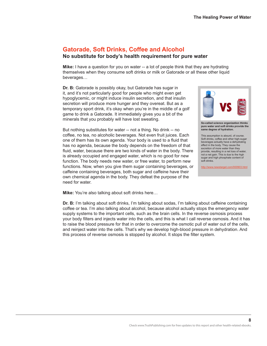#### <span id="page-7-0"></span>**Gatorade, Soft Drinks, Coffee and Alcohol**

#### **No substitute for body's health requirement for pure water**

**Mike:** I have a question for you on water -- a lot of people think that they are hydrating themselves when they consume soft drinks or milk or Gatorade or all these other liquid beverages…

**Dr. B:** Gatorade is possibly okay, but Gatorade has sugar in it, and it's not particularly good for people who might even get hypoglycemic, or might induce insulin secretion, and that insulin secretion will produce more hunger and they overeat. But as a temporary sport drink, it's okay when you're in the middle of a golf game to drink a Gatorade. It immediately gives you a bit of the minerals that you probably will have lost sweating.

But nothing substitutes for water -- not a thing. No drink -- no coffee, no tea, no alcoholic beverages. Not even fruit juices. Each one of them has its own agenda. Your body is used to a fluid that has no agenda, because the body depends on the freedom of that fluid, water, because there are two kinds of water in the body. There is already occupied and engaged water, which is no good for new function. The body needs new water, or free water, to perform new functions. Now, when you give them sugar containing beverages, or caffeine containing beverages, both sugar and caffeine have their own chemical agenda in the body. They defeat the purpose of the need for water.

**Mike:** You're also talking about soft drinks here…



**So-called science organization thinks [pure water and soft drinks provide the](http://www.newstarget.com/000903.html)  same degree of hydration.**

This assumption is absurd, of course. Soft drinks, coffee and other high-sugar beverages actually have a dehydrating effect in the body. They cause the excretion of more water than they provide, resulting in a net loss of water, not a net gain. This is due to the high sugar and high phosphate content of soft drinks.

http://www.newstarget.com/000903.html

**Dr. B:** I'm talking about soft drinks, I'm talking about sodas, I'm talking about caffeine containing coffee or tea. I'm also talking about alcohol, because alcohol actually stops the emergency water supply systems to the important cells, such as the brain cells. In the reverse osmosis process your body filters and injects water into the cells, and this is what I call reverse osmosis. And it has to raise the blood pressure for that in order to overcome the osmotic pull of water out of the cells, and reinject water into the cells. That's why we develop high-blood pressure in dehydration. And this process of reverse osmosis is stopped by alcohol. It stops the filter system.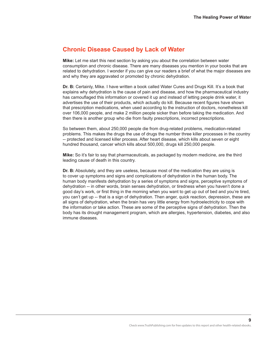#### <span id="page-8-0"></span>**Chronic Disease Caused by Lack of Water**

**Mike:** Let me start this next section by asking you about the correlation between water consumption and chronic disease. There are many diseases you mention in your books that are related to dehydration. I wonder if you can give our readers a brief of what the major diseases are and why they are aggravated or promoted by chronic dehydration.

**Dr. B:** Certainly, Mike. I have written a book called Water Cures and Drugs Kill. It's a book that explains why dehydration is the cause of pain and disease, and how the pharmaceutical industry has camouflaged this information or covered it up and instead of letting people drink water, it advertises the use of their products, which actually do kill. Because recent figures have shown that prescription medications, when used according to the instruction of doctors, nonetheless kill over 106,000 people, and make 2 million people sicker than before taking the medication. And then there is another group who die from faulty prescriptions, incorrect prescriptions.

So between them, about 250,000 people die from drug-related problems, medication-related problems. This makes the drugs the use of drugs the number three killer processes in the country -- protected and licensed killer process. After heart disease, which kills about seven or eight hundred thousand, cancer which kills about 500,000, drugs kill 250,000 people.

**Mike:** So it's fair to say that pharmaceuticals, as packaged by modern medicine, are the third leading cause of death in this country.

**Dr. B:** Absolutely, and they are useless, because most of the medication they are using is to cover up symptoms and signs and complications of dehydration in the human body. The human body manifests dehydration by a series of symptoms and signs, perceptive symptoms of dehydration -- in other words, brain senses dehydration, or tiredness when you haven't done a good day's work, or first thing in the morning when you want to get up out of bed and you're tired, you can't get up -- that is a sign of dehydration. Then anger, quick reaction, depression, these are all signs of dehydration, when the brain has very little energy from hydroelectricity to cope with the information or take action. These are some of the perceptive signs of dehydration. Then the body has its drought management program, which are allergies, hypertension, diabetes, and also immune diseases.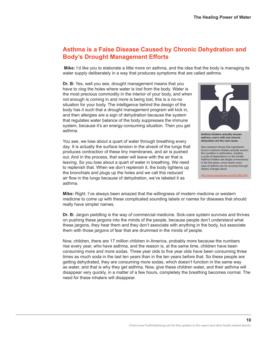#### <span id="page-9-0"></span>**Asthma is a False Disease Caused by Chronic Dehydration and Body's Drought Management Efforts**

**Mike:** I'd like you to elaborate a little more on asthma, and the idea that the body is managing its water supply deliberately in a way that produces symptoms that are called asthma.

**Dr. B:** Yes, well you see, drought management means that you have to clog the holes where water is lost from the body. Water is the most precious commodity in the interior of your body, and when not enough is coming in and more is being lost, this is a no-no situation for your body. The intelligence behind the design of the body has it such that a drought management program will kick in, and then allergies are a sign of dehydration because the system that regulates water balance of the body suppresses the immune system, because it's an energy-consuming situation. Then you get asthma.

You see, we lose about a quart of water through breathing every day. It is actually the surface tension in the alveoli of the lungs that produces contraction of these tiny membranes, and air is pushed out. And in the process, that water will leave with the air that is leaving. So you lose about a quart of water in breathing. We need to replenish that. When we don't replenish it, the body tightens up the bronchials and plugs up the holes and we call this reduced air flow in the lungs because of dehydration, we've labeled it as asthma.



**Asthma inhalers actually worsen asthma; cow's milk and chronic dehyration are the root cause.**

New research shows that ingredients [found in asthma inhalers actually worsen](http://www.newstarget.com/001080.html)  the condition in asthmatics, creating a cycle of dependence on the inhaler. Asthma inhalers are largely unnecessary in the first place, since nearly every case of asthma can be reversed through dietary changes alone.

http://www.newstarget.com/001080.html

**Mike:** Right. I've always been amazed that the willingness of modern medicine or western medicine to come up with these complicated sounding labels or names for diseases that should really have simpler names.

**Dr. B:** Jargon peddling is the way of commercial medicine. Sick-care system survives and thrives on pushing these jargons into the minds of the people, because people don't understand what these jargons, they hear them and they don't associate with anything in the body, but associate them with those jargons of fear that are drummed in the minds of people.

Now, children, there are 17 million children in America, probably more because the numbers rise every year, who have asthma, and the reason is, at the same time, children have been consuming more and more sodas. Three year olds to five year olds have been consuming three times as much soda in the last ten years than in the ten years before that. So these people are getting dehydrated, they are consuming more sodas, which doesn't function in the same way as water, and that is why they get asthma. Now, give these children water, and their asthma will disappear very quickly, in a matter of a few hours, completely the breathing becomes normal. The need for these inhalers will disappear.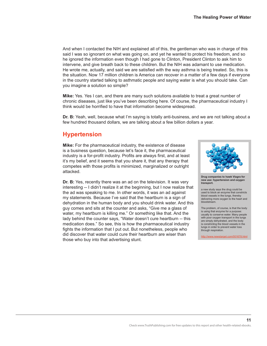<span id="page-10-0"></span>And when I contacted the NIH and explained all of this, the gentleman who was in charge of this said I was so ignorant on what was going on, and yet he wanted to protect his freedom, and so he ignored the information even though I had gone to Clinton, President Clinton to ask him to intervene, and give breath back to these children. But the NIH was adamant to use medication. He wrote me, actually, and said we are satisfied with the way asthma is being treated. So, this is the situation. Now 17 million children is America can recover in a matter of a few days if everyone in the country started talking to asthmatic people and saying water is what you should take. Can you imagine a solution so simple?

**Mike:** Yes. Yes I can, and there are many such solutions available to treat a great number of chronic diseases, just like you've been describing here. Of course, the pharmaceutical industry I think would be horrified to have that information become widespread.

**Dr. B:** Yeah, well, because what I'm saying is totally anti-business, and we are not talking about a few hundred thousand dollars, we are talking about a few billion dollars a year.

#### **Hypertension**

**Mike:** For the pharmaceutical industry, the existence of disease is a business question, because let's face it, the pharmaceutical industry is a for-profit industry. Profits are always first, and at least it's my belief, and it seems that you share it, that any therapy that competes with those profits is minimized, marginalized or outright attacked.

**Dr. B:** Yes, recently there was an ad on the television. It was very interesting -- I didn't realize it at the beginning, but I now realize that the ad was speaking to me. In other words, it was an ad against my statements. Because I've said that the heartburn is a sign of dehydration in the human body and you should drink water. And this guy comes and sits at the counter and asks, "Give me a glass of water, my heartburn is killing me." Or something like that. And the lady behind the counter says, "Water doesn't cure heartburn -- this medication does." So see, this is how the pharmaceutical industry fights the information that I put out. But nonetheless, people who did discover that water could cure their heartburn are wiser than those who buy into that advertising stunt.



**Drug companies to hawk Viagra for new use: hypertension and oxygen transport.**

a new study says the drug could be used to block an enzyme that constricts blood vessels in the lungs, thereby [delivering more oxygen to the heart and](http://www.newstarget.com/001678.html)  bloodstream.

The problem, of course, is that the body is using that enzyme for a purpose: usually to conserve water. Many people with poor oxygen transport in the lungs are simply dehydrated, and the body is constricting the blood vessels in the lungs in order to prevent water loss through respiration.

http://www.newstarget.com/001678.html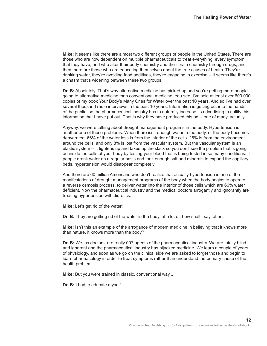**Mike:** It seems like there are almost two different groups of people in the United States. There are those who are now dependent on multiple pharmaceuticals to treat everything, every symptom that they have, and who alter their body chemistry and their brain chemistry through drugs, and then there are those who are educating themselves about the true causes of health. They're drinking water, they're avoiding food additives, they're engaging in exercise -- it seems like there's a chasm that's widening between these two groups.

**Dr. B:** Absolutely. That's why alternative medicine has picked up and you're getting more people going to alternative medicine than conventional medicine. You see, I've sold at least over 600,000 copies of my book Your Body's Many Cries for Water over the past 10 years. And so I've had over several thousand radio interviews in the past 10 years. Information is getting out into the hands of the public, so the pharmaceutical industry has to naturally increase its advertising to nullify this information that I have put out. That is why they have produced this ad -- one of many, actually.

Anyway, we were talking about drought management programs in the body. Hypertension is another one of these problems. When there isn't enough water in the body, or the body becomes dehydrated, 66% of the water loss is from the interior of the cells. 26% is from the environment around the cells, and only 8% is lost from the vascular system. But the vascular system is an elastic system -- it tightens up and takes up the slack so you don't see the problem that is going on inside the cells of your body by testing your blood that is being tested in so many conditions. If people drank water on a regular basis and took enough salt and minerals to expand the capillary beds, hypertension would disappear completely.

And there are 60 million Americans who don't realize that actually hypertension is one of the manifestations of drought management programs of the body when the body begins to operate a reverse osmosis process, to deliver water into the interior of those cells which are 66% water deficient. Now the pharmaceutical industry and the medical doctors arrogantly and ignorantly are treating hypertension with diuretics.

**Mike:** Let's get rid of the water!

**Dr. B:** They are getting rid of the water in the body, at a lot of, how shall I say, effort.

**Mike:** Isn't this an example of the arrogance of modern medicine in believing that it knows more than nature, it knows more than the body?

**Dr. B:** We, as doctors, are really 007 agents of the pharmaceutical industry. We are totally blind and ignorant and the pharmaceutical industry has hijacked medicine. We learn a couple of years of physiology, and soon as we go on the clinical side we are asked to forget those and begin to learn pharmacology in order to treat symptoms rather than understand the primary cause of the health problem.

**Mike:** But you were trained in classic, conventional way...

**Dr. B:** I had to educate myself.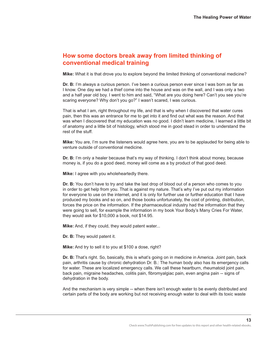#### <span id="page-12-0"></span>**How some doctors break away from limited thinking of conventional medical training**

**Mike:** What it is that drove you to explore beyond the limited thinking of conventional medicine?

**Dr. B:** I'm always a curious person. I've been a curious person ever since I was born as far as I know. One day we had a thief come into the house and was on the wall, and I was only a two and a half year old boy. I went to him and said, "What are you doing here? Can't you see you're scaring everyone? Why don't you go?" I wasn't scared, I was curious.

That is what I am, right throughout my life, and that is why when I discovered that water cures pain, then this was an entrance for me to get into it and find out what was the reason. And that was when I discovered that my education was no good. I didn't learn medicine, I learned a little bit of anatomy and a little bit of histology, which stood me in good stead in order to understand the rest of the stuff.

**Mike:** You are, I'm sure the listeners would agree here, you are to be applauded for being able to venture outside of conventional medicine.

**Dr. B:** I'm only a healer because that's my way of thinking. I don't think about money, because money is, if you do a good deed, money will come as a by product of that good deed.

**Mike:** I agree with you wholeheartedly there.

**Dr. B:** You don't have to try and take the last drop of blood out of a person who comes to you in order to get help from you. That is against my nature. That's why I've put out my information for everyone to use on the internet, and it is only for further use or further education that I have produced my books and so on, and those books unfortunately, the cost of printing, distribution, forces the price on the information. If the pharmaceutical industry had the information that they were going to sell, for example the information in my book Your Body's Many Cries For Water, they would ask for \$10,000 a book, not \$14.95.

**Mike:** And, if they could, they would patent water...

**Dr. B:** They would patent it.

**Mike:** And try to sell it to you at \$100 a dose, right?

**Dr. B:** That's right. So, basically, this is what's going on in medicine in America. Joint pain, back pain, arthritis cause by chronic dehydration Dr. B.: The human body also has its emergency calls for water. These are localized emergency calls. We call these heartburn, rheumatoid joint pain, back pain, migraine headaches, colitis pain, fibromyalgiac pain, even angina pain -- signs of dehydration in the body.

And the mechanism is very simple -- when there isn't enough water to be evenly distributed and certain parts of the body are working but not receiving enough water to deal with its toxic waste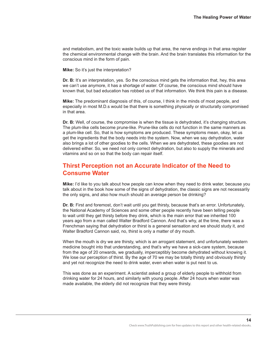<span id="page-13-0"></span>and metabolism, and the toxic waste builds up that area, the nerve endings in that area register the chemical environmental change with the brain. And the brain translates this information for the conscious mind in the form of pain.

**Mike:** So it's just the interpretation?

**Dr. B:** It's an interpretation, yes. So the conscious mind gets the information that, hey, this area we can't use anymore, it has a shortage of water. Of course, the conscious mind should have known that, but bad education has robbed us of that information. We think this pain is a disease.

**Mike:** The predominant diagnosis of this, of course, I think in the minds of most people, and especially in most M.D.s would be that there is something physically or structurally compromised in that area.

**Dr. B:** Well, of course, the compromise is when the tissue is dehydrated, it's changing structure. The plum-like cells become prune-like. Prune-like cells do not function in the same manners as a plum-like cell. So, that is how symptoms are produced. These symptoms mean, okay, let us get the ingredients that the body needs into the system. Now, when we say dehydration, water also brings a lot of other goodies to the cells. When we are dehydrated, these goodies are not delivered either. So, we need not only correct dehydration, but also to supply the minerals and vitamins and so on so that the body can repair itself.

#### **Thirst Perception not an Accurate Indicator of the Need to Consume Water**

**Mike:** I'd like to you talk about how people can know when they need to drink water, because you talk about in the book how some of the signs of dehydration, the classic signs are not necessarily the only signs, and also how much should an average person be drinking?

**Dr. B:** First and foremost, don't wait until you get thirsty, because that's an error. Unfortunately, the National Academy of Sciences and some other people recently have been telling people to wait until they get thirsty before they drink, which is the main error that we inherited 100 years ago from a man called Walter Bradford Cannon. And that's why, at the time, there was a Frenchman saying that dehydration or thirst is a general sensation and we should study it, and Walter Bradford Cannon said, no, thirst is only a matter of dry mouth.

When the mouth is dry we are thirsty, which is an arrogant statement, and unfortunately western medicine bought into that understanding, and that's why we have a sick-care system, because from the age of 20 onwards, we gradually, imperceptibly become dehydrated without knowing it. We lose our perception of thirst. By the age of 70 we may be totally thirsty and obviously thirsty and yet not recognize the need to drink water, even when water is put next to us.

This was done as an experiment. A scientist asked a group of elderly people to withhold from drinking water for 24 hours, and similarly with young people. After 24 hours when water was made available, the elderly did not recognize that they were thirsty.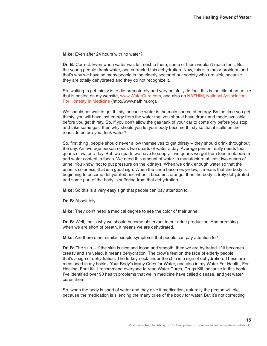**Mike:** Even after 24 hours with no water?

**Dr. B:** Correct. Even when water was left next to them, some of them wouldn't reach for it. But the young people drank water, and corrected this dehydration. Now, this is a major problem, and that's why we have so many people in the elderly sector of our society who are sick, because they are totally dehydrated and they do not recognize it.

So, waiting to get thirsty is to die prematurely and very painfully. In fact, this is the title of an article that is posted on my website, <www.WaterCure.com>, and also on NAFHIM, National Association [For Honesty In Medicine \(http://www.nafhim.org\).](http://www.nafhim.org)

We should not wait to get thirsty, because water is the main source of energy. By the time you get thirsty, you will have lost energy from the water that you should have drunk and made available before you get thirsty. So, if you don't allow the gas tank of your car to come dry before you stop and take some gas, then why should you let your body become thirsty so that it stalls on the roadside before you drink water?

So, first thing, people should never allow themselves to get thirsty -- they should drink throughout the day. An average person needs two quarts of water a day. Average person really needs four quarts of water a day. But two quarts we have to supply. Two quarts we get from food metabolism and water content in foods. We need this amount of water to manufacture at least two quarts of urine. You know, not to put pressure on the kidneys. When we drink enough water so that the urine is colorless, that is a good sign. When the urine becomes yellow, it means that the body is beginning to become dehydrated and when it becomes orange, then the body is truly dehydrated and some part of the body is suffering from that dehydration.

**Mike:** So this is a very easy sign that people can pay attention to.

**Dr. B:** Absolutely.

**Mike:** They don't need a medical degree to see the color of their urine.

**Dr. B:** Well, that's why we should become observant to our urine production. And breathing - when we are short of breath, it means we are dehydrated.

**Mike:** Are there other similar, simple symptoms that people can pay attention to?

**Dr. B:** The skin -- if the skin is nice and loose and smooth, then we are hydrated. If it becomes creasy and shriveled, it means dehydration. The crow's feet on the face of elderly people, that's a sign of dehydration. The turkey neck under the chin is a sign of dehydration. These are mentioned in my books, Your Body's Many Cries for Water, and also in my Water For Health, For Healing, For Life. I recommend everyone to read Water Cures, Drugs Kill, because in this book I've identified over 90 health problems that we in medicine have called disease, and yet water cures them.

So, when the body is short of water and they give it medication, naturally the person will die, because the medication is silencing the many cries of the body for water. But it's not correcting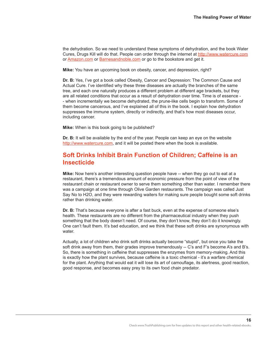<span id="page-15-0"></span>the dehydration. So we need to understand these symptoms of dehydration, and the book Water Cures, Drugs Kill will do that. People can order through the internet at<http://www.watercure.com> or **Amazon.com** or **[Barnesandnoble.com](http://www.barnesandnoble.com)** or go to the bookstore and get it.

**Mike:** You have an upcoming book on obesity, cancer, and depression, right?

**Dr. B:** Yes, I've got a book called Obesity, Cancer and Depression: The Common Cause and Actual Cure. I've identified why these three diseases are actually the branches of the same tree, and each one naturally produces a different problem at different age brackets, but they are all related conditions that occur as a result of dehydration over time. Time is of essence - - when incrementally we become dehydrated, the prune-like cells begin to transform. Some of them become cancerous, and I've explained all of this in the book. I explain how dehydration suppresses the immune system, directly or indirectly, and that's how most diseases occur, including cancer.

**Mike:** When is this book going to be published?

**Dr. B:** It will be available by the end of the year. People can keep an eye on the website <http://www.watercure.com>, and it will be posted there when the book is available.

#### **Soft Drinks Inhibit Brain Function of Children; Caffeine is an Insecticide**

**Mike:** Now here's another interesting question people have -- when they go out to eat at a restaurant, there's a tremendous amount of economic pressure from the point of view of the restaurant chain or restaurant owner to serve them something other than water. I remember there was a campaign at one time through Olive Garden restaurants. The campaign was called Just Say No to H2O, and they were rewarding waiters for making sure people bought some soft drinks rather than drinking water.

**Dr. B:** That's because everyone is after a fast buck, even at the expense of someone else's health. These restaurants are no different from the pharmaceutical industry when they push something that the body doesn't need. Of course, they don't know, they don't do it knowingly. One can't fault them. It's bad education, and we think that these soft drinks are synonymous with water.

Actually, a lot of children who drink soft drinks actually become "stupid", but once you take the soft drink away from them, their grades improve tremendously -- C's and F's become A's and B's. So, there is something in caffeine that suppresses the enzymes from memory-making. And this is exactly how the plant survives, because caffeine is a toxic chemical - it's a warfare chemical for the plant. Anything that would eat it will lose its art of camouflage, its alertness, good reaction, good response, and becomes easy prey to its own food chain predator.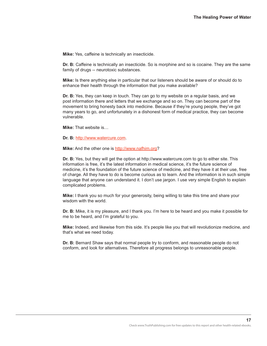**Mike:** Yes, caffeine is technically an insecticide.

**Dr. B:** Caffeine is technically an insecticide. So is morphine and so is cocaine. They are the same family of drugs -- neurotoxic substances.

**Mike:** Is there anything else in particular that our listeners should be aware of or should do to enhance their health through the information that you make available?

**Dr. B:** Yes, they can keep in touch. They can go to my website on a regular basis, and we post information there and letters that we exchange and so on. They can become part of the movement to bring honesty back into medicine. Because if they're young people, they've got many years to go, and unfortunately in a dishonest form of medical practice, they can become vulnerable.

**Mike:** That website is…

**Dr. B:** [http://www.watercure.com.](http://www.watercure.com)

**Mike:** And the other one is<http://www.nafhim.org>?

**Dr. B:** Yes, but they will get the option at http://www.watercure.com to go to either site. This information is free, it's the latest information in medical science, it's the future science of medicine, it's the foundation of the future science of medicine, and they have it at their use, free of charge. All they have to do is become curious as to learn. And the information is in such simple language that anyone can understand it. I don't use jargon. I use very simple English to explain complicated problems.

**Mike:** I thank you so much for your generosity, being willing to take this time and share your wisdom with the world.

**Dr. B:** Mike, it is my pleasure, and I thank you. I'm here to be heard and you make it possible for me to be heard, and I'm grateful to you.

**Mike:** Indeed, and likewise from this side. It's people like you that will revolutionize medicine, and that's what we need today.

**Dr. B:** Bernard Shaw says that normal people try to conform, and reasonable people do not conform, and look for alternatives. Therefore all progress belongs to unreasonable people.